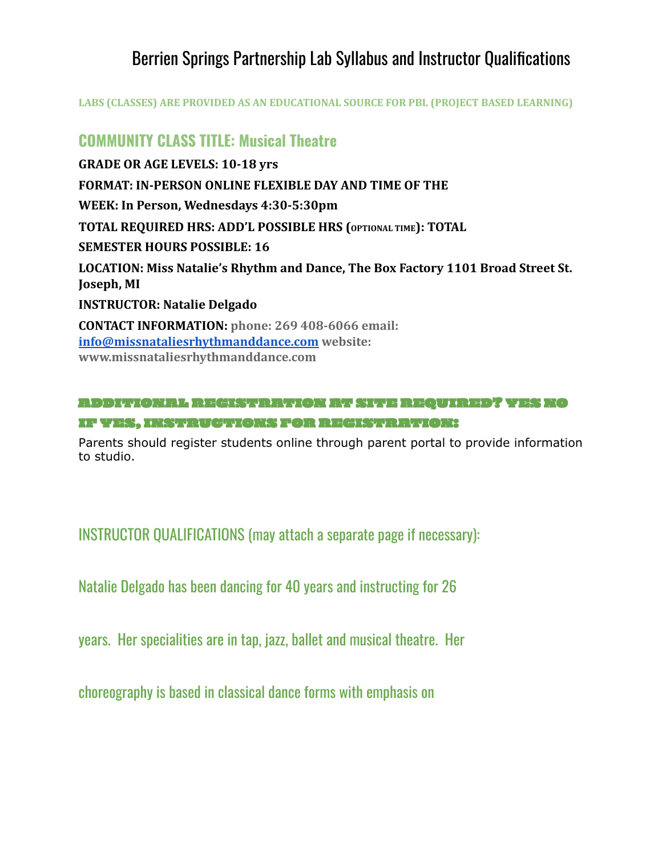## Berrien Springs Partnership Lab Syllabus and Instructor Qualifications

**LABS (CLASSES) ARE PROVIDED AS AN EDUCATIONAL SOURCE FOR PBL (PROJECT BASED LEARNING)**

# **COMMUNITY CLASS TITLE: Musical Theatre**

**GRADE OR AGE LEVELS: 10-18 yrs FORMAT: IN-PERSON ONLINE FLEXIBLE DAY AND TIME OF THE WEEK: In Person, Wednesdays 4:30-5:30pm TOTAL REQUIRED HRS: ADD'L POSSIBLE HRS (OPTIONAL TIME): TOTAL SEMESTER HOURS POSSIBLE: 16 LOCATION: Miss Natalie's Rhythm and Dance, The Box Factory 1101 Broad Street St. Joseph, MI INSTRUCTOR: Natalie Delgado CONTACT INFORMATION: phone: 269 408-6066 email: [info@missnataliesrhythmanddance.com](mailto:info@missnataliesrhythmanddance.com) website: www.missnataliesrhythmanddance.com**

#### ADDITIONAL REGISTRATION AT SITE REQUIRED? YES NO IF YES, INSTRUCTIONS FOR REGISTRATION:

Parents should register students online through parent portal to provide information to studio.

INSTRUCTOR QUALIFICATIONS (may attach a separate page if necessary):

Natalie Delgado has been dancing for 40 years and instructing for 26

years. Her specialities are in tap, jazz, ballet and musical theatre. Her

choreography is based in classical dance forms with emphasis on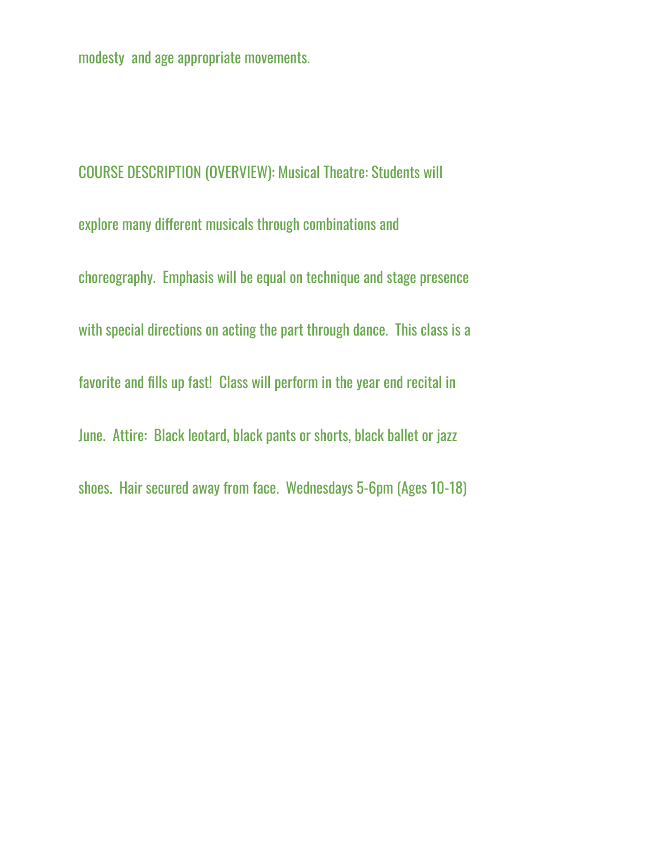modesty and age appropriate movements.

COURSE DESCRIPTION (OVERVIEW): Musical Theatre: Students will explore many different musicals through combinations and choreography. Emphasis will be equal on technique and stage presence with special directions on acting the part through dance. This class is a favorite and fills up fast! Class will perform in the year end recital in June. Attire: Black leotard, black pants or shorts, black ballet or jazz shoes. Hair secured away from face. Wednesdays 5-6pm (Ages 10-18)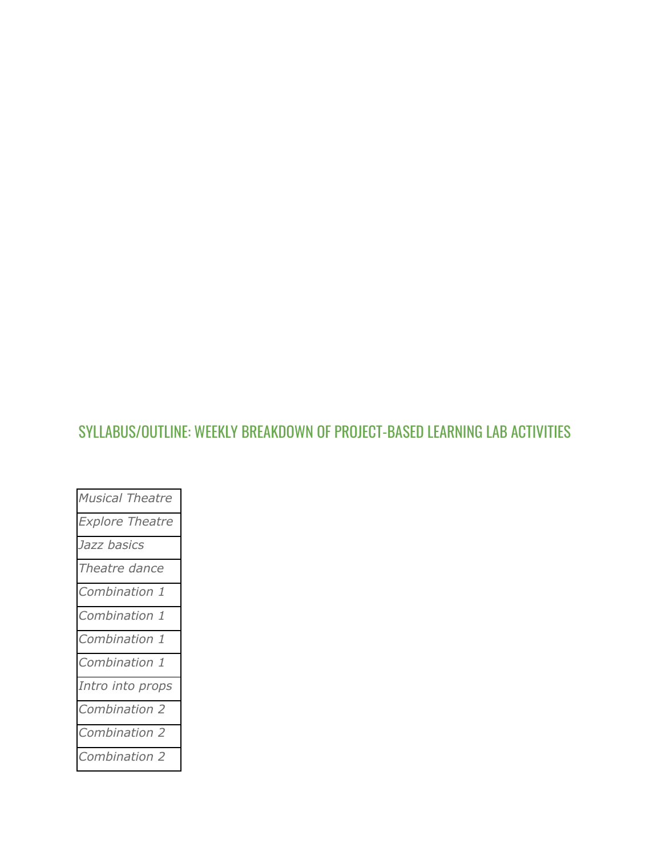## SYLLABUS/OUTLINE: WEEKLY BREAKDOWN OF PROJECT-BASED LEARNING LAB ACTIVITIES

| <b>Musical Theatre</b> |
|------------------------|
| <b>Explore Theatre</b> |
| Jazz basics            |
| Theatre dance          |
| Combination 1          |
| Combination 1          |
| Combination 1          |
| Combination 1          |
| Intro into props       |
| Combination 2          |
| Combination 2          |
| Combination 2          |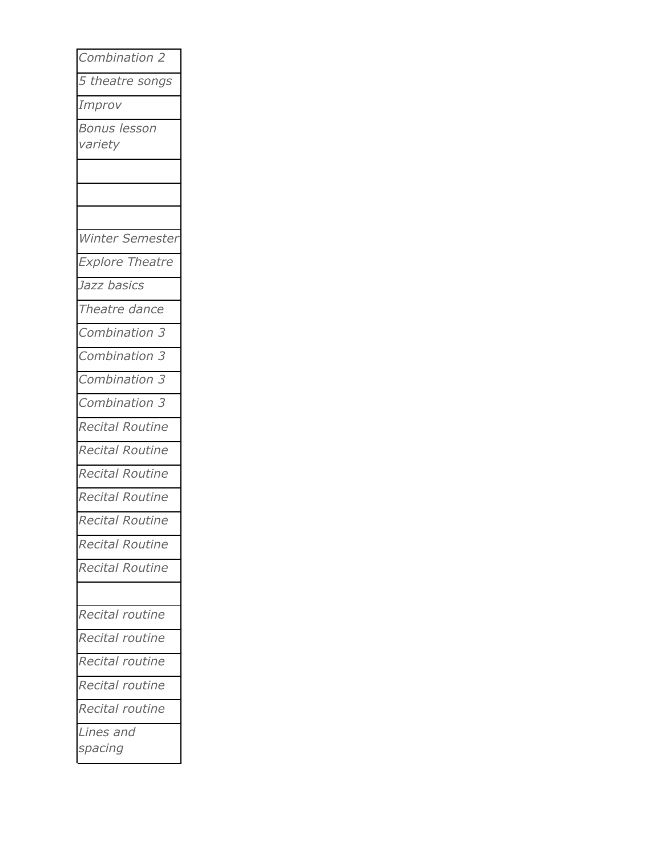| Combination 2          |
|------------------------|
| 5 theatre songs        |
| <i>Improv</i>          |
| <b>Bonus lesson</b>    |
| variety                |
|                        |
|                        |
|                        |
| Winter Semester        |
| <b>Explore Theatre</b> |
| Jazz basics            |
| Theatre dance          |
| Combination 3          |
| Combination 3          |
| Combination 3          |
| Combination 3          |
| <b>Recital Routine</b> |
| <b>Recital Routine</b> |
| Recital Routine        |
| <b>Recital Routine</b> |
| Recital Routine        |
| Recital Routine        |
| Recital Routine        |
|                        |
| Recital routine        |
| Recital routine        |
| Recital routine        |
| Recital routine        |
| Recital routine        |
| ines and               |
| spacing                |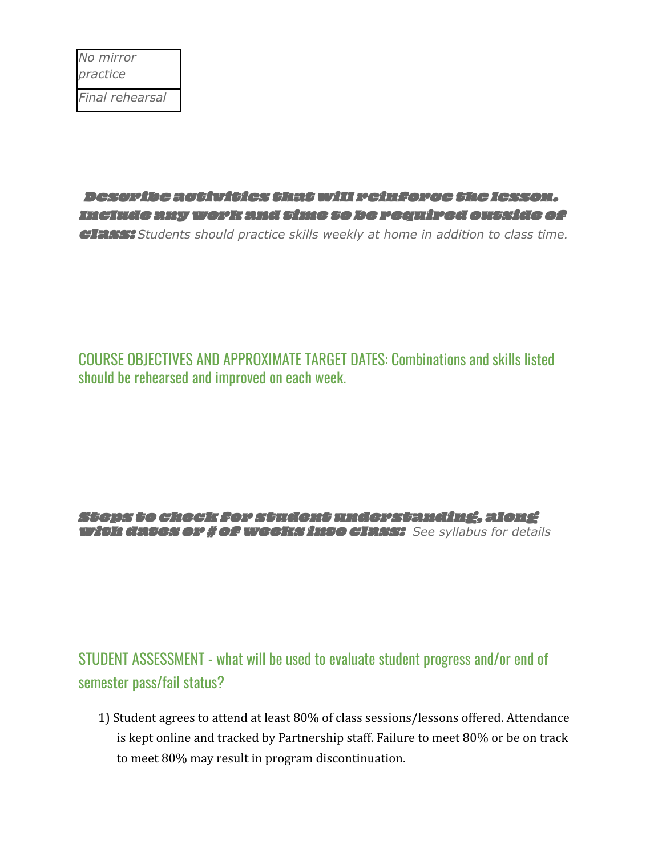*Final rehearsal*

Describe activities thatwill reinforce the lesson. Include anywork and time to be required outside of class: *Students should practice skills weekly at home in addition to class time.*

#### COURSE OBJECTIVES AND APPROXIMATE TARGET DATES: Combinations and skills listed should be rehearsed and improved on each week.

#### Steps to check for student understanding, along with dates or # ofweeks into class: *See syllabus for details*

### STUDENT ASSESSMENT - what will be used to evaluate student progress and/or end of semester pass/fail status?

1) Student agrees to attend at least 80% of class sessions/lessons offered. Attendance is kept online and tracked by Partnership staff. Failure to meet 80% or be on track to meet 80% may result in program discontinuation.